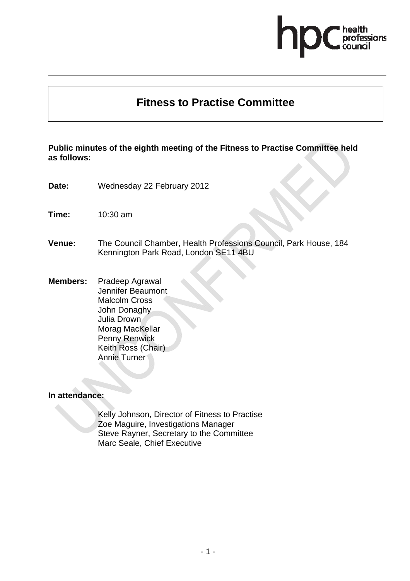# fessions

# **Fitness to Practise Committee**

**Public minutes of the eighth meeting of the Fitness to Practise Committee held as follows:** 

- **Date:** Wednesday 22 February 2012
- **Time:** 10:30 am
- **Venue:** The Council Chamber, Health Professions Council, Park House, 184 Kennington Park Road, London SE11 4BU
- **Members:** Pradeep Agrawal Jennifer Beaumont Malcolm Cross John Donaghy Julia Drown Morag MacKellar Penny Renwick Keith Ross (Chair) Annie Turner

#### **In attendance:**

Kelly Johnson, Director of Fitness to Practise Zoe Maguire, Investigations Manager Steve Rayner, Secretary to the Committee Marc Seale, Chief Executive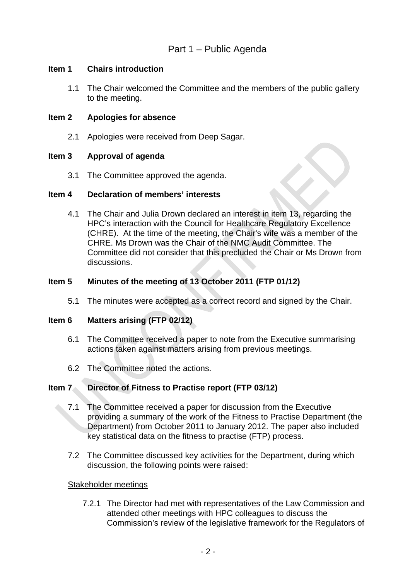# **Item 1 Chairs introduction**

1.1 The Chair welcomed the Committee and the members of the public gallery to the meeting.

# **Item 2 Apologies for absence**

2.1 Apologies were received from Deep Sagar.

## **Item 3 Approval of agenda**

3.1 The Committee approved the agenda.

#### **Item 4 Declaration of members' interests**

4.1 The Chair and Julia Drown declared an interest in item 13, regarding the HPC's interaction with the Council for Healthcare Regulatory Excellence (CHRE). At the time of the meeting, the Chair's wife was a member of the CHRE. Ms Drown was the Chair of the NMC Audit Committee. The Committee did not consider that this precluded the Chair or Ms Drown from discussions.

# **Item 5 Minutes of the meeting of 13 October 2011 (FTP 01/12)**

5.1 The minutes were accepted as a correct record and signed by the Chair.

#### **Item 6 Matters arising (FTP 02/12)**

- 6.1 The Committee received a paper to note from the Executive summarising actions taken against matters arising from previous meetings.
- 6.2 The Committee noted the actions.

#### **Item 7 Director of Fitness to Practise report (FTP 03/12)**

- 7.1 The Committee received a paper for discussion from the Executive providing a summary of the work of the Fitness to Practise Department (the Department) from October 2011 to January 2012. The paper also included key statistical data on the fitness to practise (FTP) process.
- 7.2 The Committee discussed key activities for the Department, during which discussion, the following points were raised:

#### Stakeholder meetings

7.2.1 The Director had met with representatives of the Law Commission and attended other meetings with HPC colleagues to discuss the Commission's review of the legislative framework for the Regulators of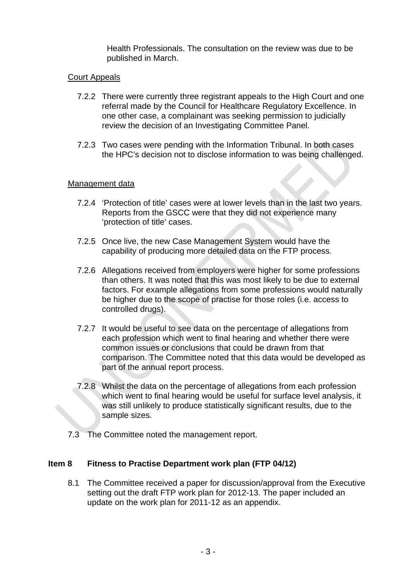Health Professionals. The consultation on the review was due to be published in March.

#### Court Appeals

- 7.2.2 There were currently three registrant appeals to the High Court and one referral made by the Council for Healthcare Regulatory Excellence. In one other case, a complainant was seeking permission to judicially review the decision of an Investigating Committee Panel.
- 7.2.3 Two cases were pending with the Information Tribunal. In both cases the HPC's decision not to disclose information to was being challenged.

#### Management data

- 7.2.4 'Protection of title' cases were at lower levels than in the last two years. Reports from the GSCC were that they did not experience many 'protection of title' cases.
- 7.2.5 Once live, the new Case Management System would have the capability of producing more detailed data on the FTP process.
- 7.2.6 Allegations received from employers were higher for some professions than others. It was noted that this was most likely to be due to external factors. For example allegations from some professions would naturally be higher due to the scope of practise for those roles (i.e. access to controlled drugs).
- 7.2.7 It would be useful to see data on the percentage of allegations from each profession which went to final hearing and whether there were common issues or conclusions that could be drawn from that comparison. The Committee noted that this data would be developed as part of the annual report process.
- 7.2.8 Whilst the data on the percentage of allegations from each profession which went to final hearing would be useful for surface level analysis, it was still unlikely to produce statistically significant results, due to the sample sizes.
- 7.3 The Committee noted the management report.

#### **Item 8 Fitness to Practise Department work plan (FTP 04/12)**

8.1 The Committee received a paper for discussion/approval from the Executive setting out the draft FTP work plan for 2012-13. The paper included an update on the work plan for 2011-12 as an appendix.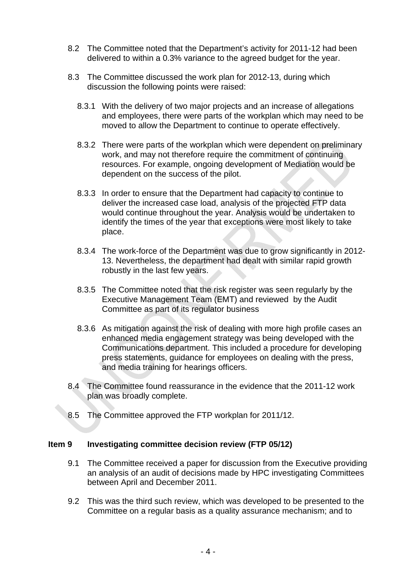- 8.2 The Committee noted that the Department's activity for 2011-12 had been delivered to within a 0.3% variance to the agreed budget for the year.
- 8.3 The Committee discussed the work plan for 2012-13, during which discussion the following points were raised:
	- 8.3.1 With the delivery of two major projects and an increase of allegations and employees, there were parts of the workplan which may need to be moved to allow the Department to continue to operate effectively.
	- 8.3.2 There were parts of the workplan which were dependent on preliminary work, and may not therefore require the commitment of continuing resources. For example, ongoing development of Mediation would be dependent on the success of the pilot.
	- 8.3.3 In order to ensure that the Department had capacity to continue to deliver the increased case load, analysis of the projected FTP data would continue throughout the year. Analysis would be undertaken to identify the times of the year that exceptions were most likely to take place.
	- 8.3.4 The work-force of the Department was due to grow significantly in 2012- 13. Nevertheless, the department had dealt with similar rapid growth robustly in the last few years.
	- 8.3.5 The Committee noted that the risk register was seen regularly by the Executive Management Team (EMT) and reviewed by the Audit Committee as part of its regulator business
	- 8.3.6 As mitigation against the risk of dealing with more high profile cases an enhanced media engagement strategy was being developed with the Communications department. This included a procedure for developing press statements, guidance for employees on dealing with the press, and media training for hearings officers.
- 8.4 The Committee found reassurance in the evidence that the 2011-12 work plan was broadly complete.
- 8.5 The Committee approved the FTP workplan for 2011/12.

# **Item 9 Investigating committee decision review (FTP 05/12)**

- 9.1 The Committee received a paper for discussion from the Executive providing an analysis of an audit of decisions made by HPC investigating Committees between April and December 2011.
- 9.2 This was the third such review, which was developed to be presented to the Committee on a regular basis as a quality assurance mechanism; and to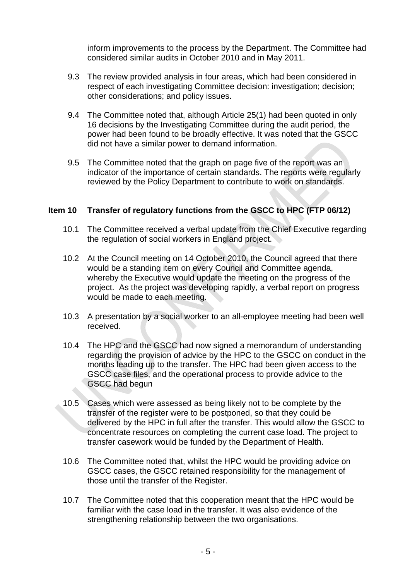inform improvements to the process by the Department. The Committee had considered similar audits in October 2010 and in May 2011.

- 9.3 The review provided analysis in four areas, which had been considered in respect of each investigating Committee decision: investigation; decision; other considerations; and policy issues.
- 9.4 The Committee noted that, although Article 25(1) had been quoted in only 16 decisions by the Investigating Committee during the audit period, the power had been found to be broadly effective. It was noted that the GSCC did not have a similar power to demand information.
- 9.5 The Committee noted that the graph on page five of the report was an indicator of the importance of certain standards. The reports were regularly reviewed by the Policy Department to contribute to work on standards.

# **Item 10 Transfer of regulatory functions from the GSCC to HPC (FTP 06/12)**

- 10.1 The Committee received a verbal update from the Chief Executive regarding the regulation of social workers in England project.
- 10.2 At the Council meeting on 14 October 2010, the Council agreed that there would be a standing item on every Council and Committee agenda, whereby the Executive would update the meeting on the progress of the project. As the project was developing rapidly, a verbal report on progress would be made to each meeting.
- 10.3 A presentation by a social worker to an all-employee meeting had been well received.
- 10.4 The HPC and the GSCC had now signed a memorandum of understanding regarding the provision of advice by the HPC to the GSCC on conduct in the months leading up to the transfer. The HPC had been given access to the GSCC case files, and the operational process to provide advice to the GSCC had begun
- 10.5 Cases which were assessed as being likely not to be complete by the transfer of the register were to be postponed, so that they could be delivered by the HPC in full after the transfer. This would allow the GSCC to concentrate resources on completing the current case load. The project to transfer casework would be funded by the Department of Health.
- 10.6 The Committee noted that, whilst the HPC would be providing advice on GSCC cases, the GSCC retained responsibility for the management of those until the transfer of the Register.
- 10.7 The Committee noted that this cooperation meant that the HPC would be familiar with the case load in the transfer. It was also evidence of the strengthening relationship between the two organisations.